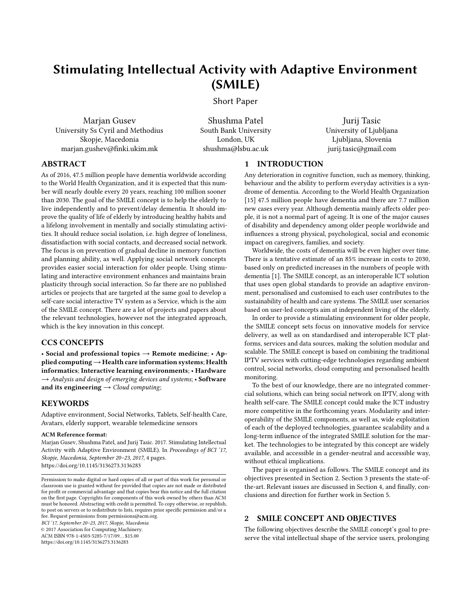# Stimulating Intellectual Activity with Adaptive Environment (SMILE)

Short Paper

Marjan Gusev University Ss Cyril and Methodius Skopje, Macedonia marjan.gushev@finki.ukim.mk

Shushma Patel South Bank University London, UK shushma@lsbu.ac.uk

Jurij Tasic University of Ljubljana Ljubljana, Slovenia jurij.tasic@gmail.com

# ABSTRACT

As of 2016, 47.5 million people have dementia worldwide according to the World Health Organization, and it is expected that this number will nearly double every 20 years, reaching 100 million sooner than 2030. The goal of the SMILE concept is to help the elderly to live independently and to prevent/delay dementia. It should improve the quality of life of elderly by introducing healthy habits and a lifelong involvement in mentally and socially stimulating activities. It should reduce social isolation, i.e. high degree of loneliness, dissatisfaction with social contacts, and decreased social network. The focus is on prevention of gradual decline in memory function and planning ability, as well. Applying social network concepts provides easier social interaction for older people. Using stimulating and interactive environment enhances and maintains brain plasticity through social interaction. So far there are no published articles or projects that are targeted at the same goal to develop a self-care social interactive TV system as a Service, which is the aim of the SMILE concept. There are a lot of projects and papers about the relevant technologies, however not the integrated approach, which is the key innovation in this concept.

# CCS CONCEPTS

• Social and professional topics  $\rightarrow$  Remote medicine; • Applied computing→Health care information systems; Health informatics; Interactive learning environments; • Hardware  $\rightarrow$  Analysis and design of emerging devices and systems; • Software and its engineering  $\rightarrow$  Cloud computing;

# KEYWORDS

Adaptive environment, Social Networks, Tablets, Self-health Care, Avatars, elderly support, wearable telemedicine sensors

#### ACM Reference format:

Marjan Gusev, Shushma Patel, and Jurij Tasic. 2017. Stimulating Intellectual Activity with Adaptive Environment (SMILE). In Proceedings of BCI '17, Skopje, Macedonia, September 20–23, 2017, [4](#page-3-0) pages. <https://doi.org/10.1145/3136273.3136283>

© 2017 Association for Computing Machinery.

ACM ISBN 978-1-4503-5285-7/17/09. . . \$15.00 <https://doi.org/10.1145/3136273.3136283>

1 INTRODUCTION

Any deterioration in cognitive function, such as memory, thinking, behaviour and the ability to perform everyday activities is a syndrome of dementia. According to the World Health Organization [\[15\]](#page-3-1) 47.5 million people have dementia and there are 7.7 million new cases every year. Although dementia mainly affects older people, it is not a normal part of ageing. It is one of the major causes of disability and dependency among older people worldwide and influences a strong physical, psychological, social and economic impact on caregivers, families, and society.

Worldwide, the costs of dementia will be even higher over time. There is a tentative estimate of an 85% increase in costs to 2030, based only on predicted increases in the numbers of people with dementia [\[1\]](#page-3-2). The SMILE concept, as an interoperable ICT solution that uses open global standards to provide an adaptive environment, personalised and customised to each user contributes to the sustainability of health and care systems. The SMILE user scenarios based on user-led concepts aim at independent living of the elderly.

In order to provide a stimulating environment for older people, the SMILE concept sets focus on innovative models for service delivery, as well as on standardised and interoperable ICT platforms, services and data sources, making the solution modular and scalable. The SMILE concept is based on combining the traditional IPTV services with cutting-edge technologies regarding ambient control, social networks, cloud computing and personalised health monitoring.

To the best of our knowledge, there are no integrated commercial solutions, which can bring social network on IPTV, along with health self-care. The SMILE concept could make the ICT industry more competitive in the forthcoming years. Modularity and interoperability of the SMILE components, as well as, wide exploitation of each of the deployed technologies, guarantee scalability and a long-term influence of the integrated SMILE solution for the market. The technologies to be integrated by this concept are widely available, and accessible in a gender-neutral and accessible way, without ethical implications.

The paper is organised as follows. The SMILE concept and its objectives presented in Section [2.](#page-0-0) Section [3](#page-1-0) presents the state-ofthe-art. Relevant issues are discussed in Section [4,](#page-2-0) and finally, conclusions and direction for further work in Section [5.](#page-3-3)

# <span id="page-0-0"></span>2 SMILE CONCEPT AND OBJECTIVES

The following objectives describe the SMILE concept's goal to preserve the vital intellectual shape of the service users, prolonging

Permission to make digital or hard copies of all or part of this work for personal or classroom use is granted without fee provided that copies are not made or distributed for profit or commercial advantage and that copies bear this notice and the full citation on the first page. Copyrights for components of this work owned by others than ACM must be honored. Abstracting with credit is permitted. To copy otherwise, or republish, to post on servers or to redistribute to lists, requires prior specific permission and/or a fee. Request permissions from permissions@acm.org. BCI '17, September 20–23, 2017, Skopje, Macedonia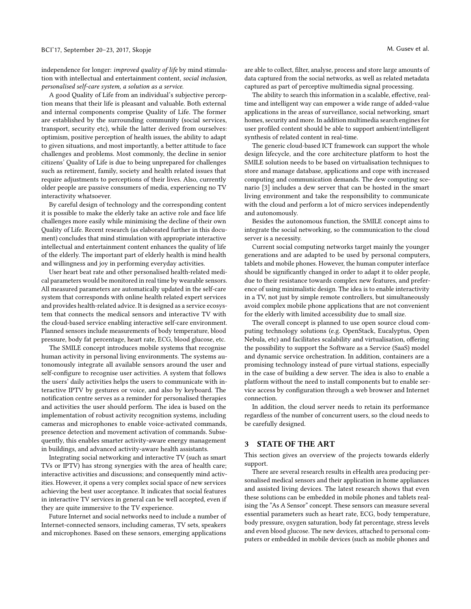independence for longer: improved quality of life by mind stimulation with intellectual and entertainment content, social inclusion, personalised self-care system, a solution as a service.

A good Quality of Life from an individual's subjective perception means that their life is pleasant and valuable. Both external and internal components comprise Quality of Life. The former are established by the surrounding community (social services, transport, security etc), while the latter derived from ourselves: optimism, positive perception of health issues, the ability to adapt to given situations, and most importantly, a better attitude to face challenges and problems. Most commonly, the decline in senior citizens' Quality of Life is due to being unprepared for challenges such as retirement, family, society and health related issues that require adjustments to perceptions of their lives. Also, currently older people are passive consumers of media, experiencing no TV interactivity whatsoever.

By careful design of technology and the corresponding content it is possible to make the elderly take an active role and face life challenges more easily while minimising the decline of their own Quality of Life. Recent research (as elaborated further in this document) concludes that mind stimulation with appropriate interactive intellectual and entertainment content enhances the quality of life of the elderly. The important part of elderly health is mind health and willingness and joy in performing everyday activities.

User heart beat rate and other personalised health-related medical parameters would be monitored in real time by wearable sensors. All measured parameters are automatically updated in the self-care system that corresponds with online health related expert services and provides health-related advice. It is designed as a service ecosystem that connects the medical sensors and interactive TV with the cloud-based service enabling interactive self-care environment. Planned sensors include measurements of body temperature, blood pressure, body fat percentage, heart rate, ECG, blood glucose, etc.

The SMILE concept introduces mobile systems that recognise human activity in personal living environments. The systems autonomously integrate all available sensors around the user and self-configure to recognise user activities. A system that follows the users' daily activities helps the users to communicate with interactive IPTV by gestures or voice, and also by keyboard. The notification centre serves as a reminder for personalised therapies and activities the user should perform. The idea is based on the implementation of robust activity recognition systems, including cameras and microphones to enable voice-activated commands, presence detection and movement activation of commands. Subsequently, this enables smarter activity-aware energy management in buildings, and advanced activity-aware health assistants.

Integrating social networking and interactive TV (such as smart TVs or IPTV) has strong synergies with the area of health care; interactive activities and discussions; and consequently mind activities. However, it opens a very complex social space of new services achieving the best user acceptance. It indicates that social features in interactive TV services in general can be well accepted, even if they are quite immersive to the TV experience.

Future Internet and social networks need to include a number of Internet-connected sensors, including cameras, TV sets, speakers and microphones. Based on these sensors, emerging applications

are able to collect, filter, analyse, process and store large amounts of data captured from the social networks, as well as related metadata captured as part of perceptive multimedia signal processing.

The ability to search this information in a scalable, effective, realtime and intelligent way can empower a wide range of added-value applications in the areas of surveillance, social networking, smart homes, security and more. In addition multimedia search engines for user profiled content should be able to support ambient/intelligent synthesis of related content in real-time.

The generic cloud-based ICT framework can support the whole design lifecycle, and the core architecture platform to host the SMILE solution needs to be based on virtualisation techniques to store and manage database, applications and cope with increased computing and communication demands. The dew computing scenario [\[3\]](#page-3-4) includes a dew server that can be hosted in the smart living environment and take the responsibility to communicate with the cloud and perform a lot of micro services independently and autonomously.

Besides the autonomous function, the SMILE concept aims to integrate the social networking, so the communication to the cloud server is a necessity.

Current social computing networks target mainly the younger generations and are adapted to be used by personal computers, tablets and mobile phones. However, the human computer interface should be significantly changed in order to adapt it to older people, due to their resistance towards complex new features, and preference of using minimalistic design. The idea is to enable interactivity in a TV, not just by simple remote controllers, but simultaneously avoid complex mobile phone applications that are not convenient for the elderly with limited accessibility due to small size.

The overall concept is planned to use open source cloud computing technology solutions (e.g. OpenStack, Eucalyptus, Open Nebula, etc) and facilitates scalability and virtualisation, offering the possibility to support the Software as a Service (SaaS) model and dynamic service orchestration. In addition, containers are a promising technology instead of pure virtual stations, especially in the case of building a dew server. The idea is also to enable a platform without the need to install components but to enable service access by configuration through a web browser and Internet connection.

In addition, the cloud server needs to retain its performance regardless of the number of concurrent users, so the cloud needs to be carefully designed.

## <span id="page-1-0"></span>3 STATE OF THE ART

This section gives an overview of the projects towards elderly support.

There are several research results in eHealth area producing personalised medical sensors and their application in home appliances and assisted living devices. The latest research shows that even these solutions can be embedded in mobile phones and tablets realising the "As A Sensor" concept. These sensors can measure several essential parameters such as heart rate, ECG, body temperature, body pressure, oxygen saturation, body fat percentage, stress levels and even blood glucose. The new devices, attached to personal computers or embedded in mobile devices (such as mobile phones and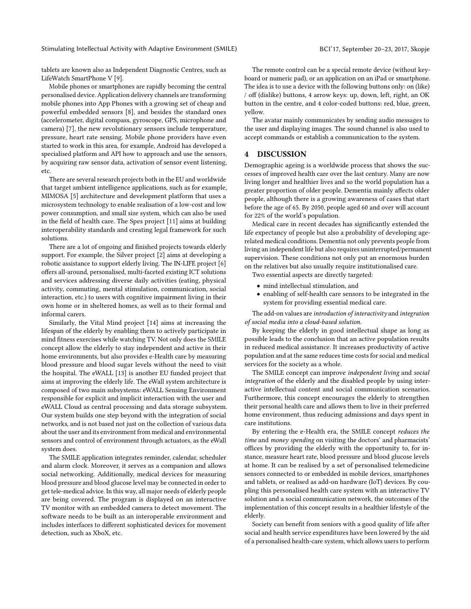tablets are known also as Independent Diagnostic Centres, such as LifeWatch SmartPhone V [\[9\]](#page-3-5).

Mobile phones or smartphones are rapidly becoming the central personalised device. Application delivery channels are transforming mobile phones into App Phones with a growing set of cheap and powerful embedded sensors [\[8\]](#page-3-6), and besides the standard ones (accelerometer, digital compass, gyroscope, GPS, microphone and camera) [\[7\]](#page-3-7), the new revolutionary sensors include temperature, pressure, heart rate sensing. Mobile phone providers have even started to work in this area, for example, Android has developed a specialised platform and API how to approach and use the sensors, by acquiring raw sensor data, activation of sensor event listening, etc.

There are several research projects both in the EU and worldwide that target ambient intelligence applications, such as for example, MIMOSA [\[5\]](#page-3-8) architecture and development platform that uses a microsystem technology to enable realisation of a low-cost and low power consumption, and small size system, which can also be used in the field of health care. The Spes project [\[11\]](#page-3-9) aims at building interoperability standards and creating legal framework for such solutions.

There are a lot of ongoing and finished projects towards elderly support. For example, the Silver project [\[2\]](#page-3-10) aims at developing a robotic assistance to support elderly living. The IN-LIFE project [\[6\]](#page-3-11) offers all-around, personalised, multi-faceted existing ICT solutions and services addressing diverse daily activities (eating, physical activity, commuting, mental stimulation, communication, social interaction, etc.) to users with cognitive impairment living in their own home or in sheltered homes, as well as to their formal and informal carers.

Similarly, the Vital Mind project [\[14\]](#page-3-12) aims at increasing the lifespan of the elderly by enabling them to actively participate in mind fitness exercises while watching TV. Not only does the SMILE concept allow the elderly to stay independent and active in their home environments, but also provides e-Health care by measuring blood pressure and blood sugar levels without the need to visit the hospital. The eWALL [\[13\]](#page-3-13) is another EU funded project that aims at improving the elderly life. The eWall system architecture is composed of two main subsystems: eWALL Sensing Environment responsible for explicit and implicit interaction with the user and eWALL Cloud as central processing and data storage subsystem. Our system builds one step beyond with the integration of social networks, and is not based not just on the collection of various data about the user and its environment from medical and environmental sensors and control of environment through actuators, as the eWall system does.

The SMILE application integrates reminder, calendar, scheduler and alarm clock. Moreover, it serves as a companion and allows social networking. Additionally, medical devices for measuring blood pressure and blood glucose level may be connected in order to get tele-medical advice. In this way, all major needs of elderly people are being covered. The program is displayed on an interactive TV monitor with an embedded camera to detect movement. The software needs to be built as an interoperable environment and includes interfaces to different sophisticated devices for movement detection, such as XboX, etc.

The remote control can be a special remote device (without keyboard or numeric pad), or an application on an iPad or smartphone. The idea is to use a device with the following buttons only: on (like) / off (dislike) buttons, 4 arrow keys: up, down, left, right, an OK button in the centre, and 4 color-coded buttons: red, blue, green, yellow.

The avatar mainly communicates by sending audio messages to the user and displaying images. The sound channel is also used to accept commands or establish a communication to the system.

#### <span id="page-2-0"></span>4 DISCUSSION

Demographic ageing is a worldwide process that shows the successes of improved health care over the last century. Many are now living longer and healthier lives and so the world population has a greater proportion of older people. Dementia mainly affects older people, although there is a growing awareness of cases that start before the age of 65. By 2050, people aged 60 and over will account for 22% of the world's population.

Medical care in recent decades has significantly extended the life expectancy of people but also a probability of developing agerelated medical conditions. Dementia not only prevents people from living an independent life but also requires uninterrupted/permanent supervision. These conditions not only put an enormous burden on the relatives but also usually require institutionalised care.

Two essential aspects are directly targeted:

- mind intellectual stimulation, and
- enabling of self-health care sensors to be integrated in the system for providing essential medical care.

The add-on values are introduction of interactivity and integration of social media into a cloud-based solution.

By keeping the elderly in good intellectual shape as long as possible leads to the conclusion that an active population results in reduced medical assistance. It increases productivity of active population and at the same reduces time costs for social and medical services for the society as a whole.

The SMILE concept can improve independent living and social integration of the elderly and the disabled people by using interactive intellectual content and social communication scenarios. Furthermore, this concept encourages the elderly to strengthen their personal health care and allows them to live in their preferred home environment, thus reducing admissions and days spent in care institutions.

By entering the e-Health era, the SMILE concept reduces the time and money spending on visiting the doctors' and pharmacists' offices by providing the elderly with the opportunity to, for instance, measure heart rate, blood pressure and blood glucose levels at home. It can be realised by a set of personalised telemedicine sensors connected to or embedded in mobile devices, smartphones and tablets, or realised as add-on hardware (IoT) devices. By coupling this personalised health care system with an interactive TV solution and a social communication network, the outcomes of the implementation of this concept results in a healthier lifestyle of the elderly.

Society can benefit from seniors with a good quality of life after social and health service expenditures have been lowered by the aid of a personalised health-care system, which allows users to perform